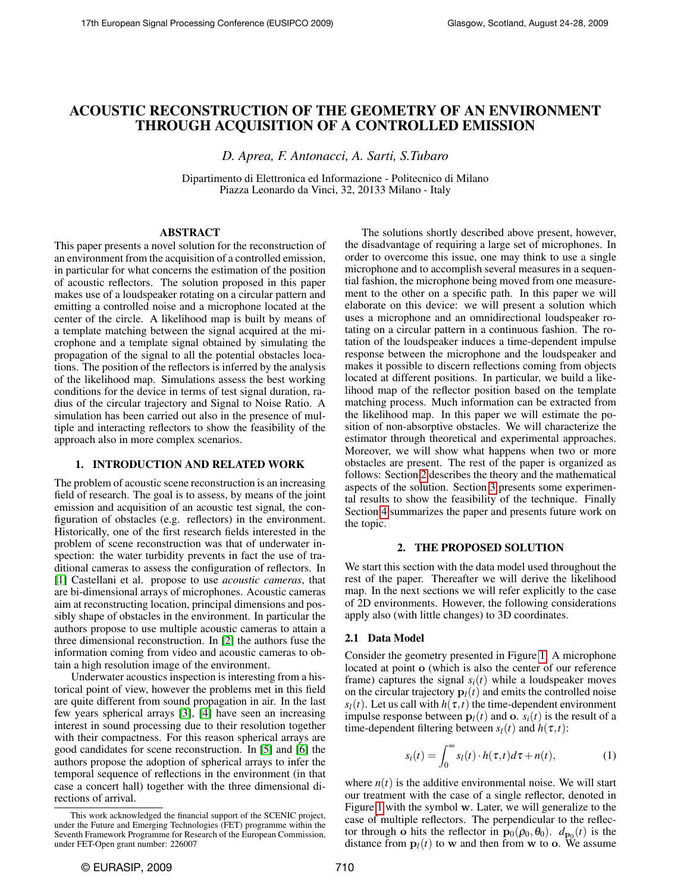# ACOUSTIC RECONSTRUCTION OF THE GEOMETRY OF AN ENVIRONMENT THROUGH ACQUISITION OF A CONTROLLED EMISSION

*D. Aprea, F. Antonacci, A. Sarti, S.Tubaro*

Dipartimento di Elettronica ed Informazione - Politecnico di Milano Piazza Leonardo da Vinci, 32, 20133 Milano - Italy

#### ABSTRACT

This paper presents a novel solution for the reconstruction of an environment from the acquisition of a controlled emission, in particular for what concerns the estimation of the position of acoustic reflectors. The solution proposed in this paper makes use of a loudspeaker rotating on a circular pattern and emitting a controlled noise and a microphone located at the center of the circle. A likelihood map is built by means of a template matching between the signal acquired at the microphone and a template signal obtained by simulating the propagation of the signal to all the potential obstacles locations. The position of the reflectors is inferred by the analysis of the likelihood map. Simulations assess the best working conditions for the device in terms of test signal duration, radius of the circular trajectory and Signal to Noise Ratio. A simulation has been carried out also in the presence of multiple and interacting reflectors to show the feasibility of the approach also in more complex scenarios.

## 1. INTRODUCTION AND RELATED WORK

The problem of acoustic scene reconstruction is an increasing field of research. The goal is to assess, by means of the joint emission and acquisition of an acoustic test signal, the configuration of obstacles (e.g. reflectors) in the environment. Historically, one of the first research fields interested in the problem of scene reconstruction was that of underwater inspection: the water turbidity prevents in fact the use of traditional cameras to assess the configuration of reflectors. In [\[1\]](#page-4-0) Castellani et al. propose to use *acoustic cameras*, that are bi-dimensional arrays of microphones. Acoustic cameras aim at reconstructing location, principal dimensions and possibly shape of obstacles in the environment. In particular the authors propose to use multiple acoustic cameras to attain a three dimensional reconstruction. In [\[2\]](#page-4-1) the authors fuse the information coming from video and acoustic cameras to obtain a high resolution image of the environment.

Underwater acoustics inspection is interesting from a historical point of view, however the problems met in this field are quite different from sound propagation in air. In the last few years spherical arrays [\[3\]](#page-4-2), [\[4\]](#page-4-3) have seen an increasing interest in sound processing due to their resolution together with their compactness. For this reason spherical arrays are good candidates for scene reconstruction. In [\[5\]](#page-4-4) and [\[6\]](#page-4-5) the authors propose the adoption of spherical arrays to infer the temporal sequence of reflections in the environment (in that case a concert hall) together with the three dimensional directions of arrival.

The solutions shortly described above present, however, the disadvantage of requiring a large set of microphones. In order to overcome this issue, one may think to use a single microphone and to accomplish several measures in a sequential fashion, the microphone being moved from one measurement to the other on a specific path. In this paper we will elaborate on this device: we will present a solution which uses a microphone and an omnidirectional loudspeaker rotating on a circular pattern in a continuous fashion. The rotation of the loudspeaker induces a time-dependent impulse response between the microphone and the loudspeaker and makes it possible to discern reflections coming from objects located at different positions. In particular, we build a likelihood map of the reflector position based on the template matching process. Much information can be extracted from the likelihood map. In this paper we will estimate the position of non-absorptive obstacles. We will characterize the estimator through theoretical and experimental approaches. Moreover, we will show what happens when two or more obstacles are present. The rest of the paper is organized as follows: Section [2](#page-0-0) describes the theory and the mathematical aspects of the solution. Section [3](#page-2-0) presents some experimental results to show the feasibility of the technique. Finally Section [4](#page-4-6) summarizes the paper and presents future work on the topic.

#### 2. THE PROPOSED SOLUTION

<span id="page-0-0"></span>We start this section with the data model used throughout the rest of the paper. Thereafter we will derive the likelihood map. In the next sections we will refer explicitly to the case of 2D environments. However, the following considerations apply also (with little changes) to 3D coordinates.

#### 2.1 Data Model

Consider the geometry presented in Figure [1.](#page-1-0) A microphone located at point o (which is also the center of our reference frame) captures the signal  $s_i(t)$  while a loudspeaker moves on the circular trajectory  $\mathbf{p}_l(t)$  and emits the controlled noise *s*<sub>*l*</sub>(*t*). Let us call with  $h(\tau, t)$  the time-dependent environment impulse response between  $p_l(t)$  and o.  $s_i(t)$  is the result of a time-dependent filtering between  $s_l(t)$  and  $h(\tau,t)$ :

<span id="page-0-1"></span>
$$
s_i(t) = \int_0^\infty s_l(t) \cdot h(\tau, t) d\tau + n(t), \qquad (1)
$$

where  $n(t)$  is the additive environmental noise. We will start our treatment with the case of a single reflector, denoted in Figure [1](#page-1-0) with the symbol w. Later, we will generalize to the case of multiple reflectors. The perpendicular to the reflector through **o** hits the reflector in  $\mathbf{p}_0(\rho_0, \theta_0)$ .  $d_{\mathbf{p}_0}(t)$  is the distance from  $\mathbf{p}_l(t)$  to w and then from w to o. We assume

This work acknowledged the financial support of the SCENIC project, under the Future and Emerging Technologies (FET) programme within the Seventh Framework Programme for Research of the European Commission, under FET-Open grant number: 226007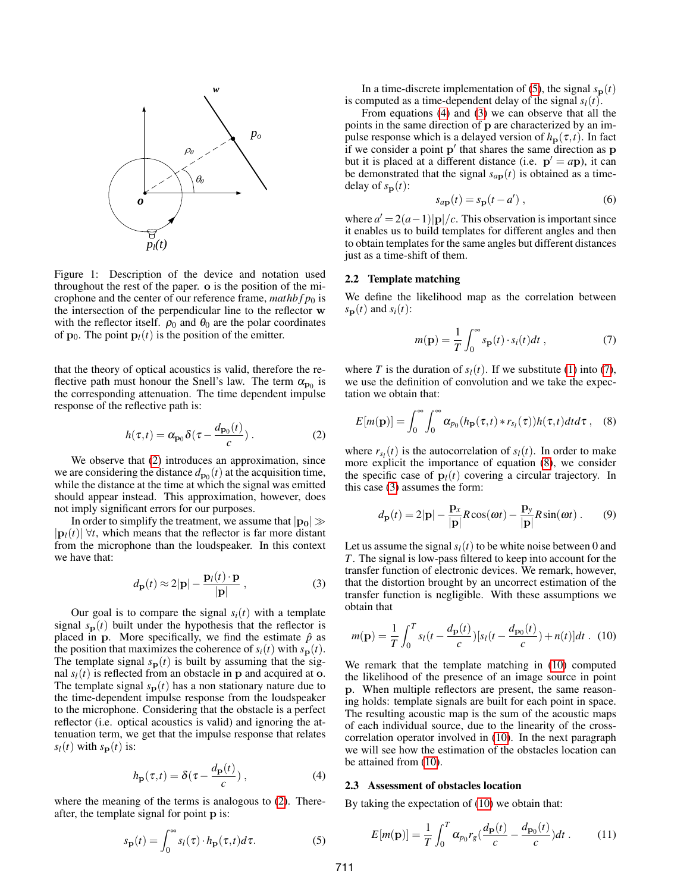

<span id="page-1-0"></span>Figure 1: Description of the device and notation used throughout the rest of the paper. o is the position of the microphone and the center of our reference frame,  $mathphi(p_0)$  is the intersection of the perpendicular line to the reflector w with the reflector itself.  $\rho_0$  and  $\theta_0$  are the polar coordinates of  $\mathbf{p}_0$ . The point  $\mathbf{p}_l(t)$  is the position of the emitter.

that the theory of optical acoustics is valid, therefore the reflective path must honour the Snell's law. The term  $\alpha_{p_0}$  is the corresponding attenuation. The time dependent impulse response of the reflective path is:

<span id="page-1-1"></span>
$$
h(\tau, t) = \alpha_{\mathbf{p}_0} \delta(\tau - \frac{d_{\mathbf{p}_0}(t)}{c}) \,. \tag{2}
$$

We observe that [\(2\)](#page-1-1) introduces an approximation, since we are considering the distance  $d_{\mathbf{p}_0}(t)$  at the acquisition time, while the distance at the time at which the signal was emitted should appear instead. This approximation, however, does not imply significant errors for our purposes.

In order to simplify the treatment, we assume that  $|p_0|\gg$  $|{\bf p}_l(t)| \forall t$ , which means that the reflector is far more distant from the microphone than the loudspeaker. In this context we have that:

<span id="page-1-4"></span>
$$
d_{\mathbf{p}}(t) \approx 2|\mathbf{p}| - \frac{\mathbf{p}_l(t) \cdot \mathbf{p}}{|\mathbf{p}|},
$$
 (3)

Our goal is to compare the signal  $s_i(t)$  with a template signal  $s_p(t)$  built under the hypothesis that the reflector is placed in p. More specifically, we find the estimate  $\hat{p}$  as the position that maximizes the coherence of  $s_i(t)$  with  $s_p(t)$ . The template signal  $s_p(t)$  is built by assuming that the signal  $s_l(t)$  is reflected from an obstacle in **p** and acquired at **o**. The template signal  $s_p(t)$  has a non stationary nature due to the time-dependent impulse response from the loudspeaker to the microphone. Considering that the obstacle is a perfect reflector (i.e. optical acoustics is valid) and ignoring the attenuation term, we get that the impulse response that relates  $s_l(t)$  with  $s_p(t)$  is:

<span id="page-1-3"></span>
$$
h_{\mathbf{p}}(\tau,t) = \delta(\tau - \frac{d_{\mathbf{p}}(t)}{c}), \qquad (4)
$$

where the meaning of the terms is analogous to [\(2\)](#page-1-1). Thereafter, the template signal for point p is:

<span id="page-1-2"></span>
$$
s_{\mathbf{p}}(t) = \int_0^\infty s_l(\tau) \cdot h_{\mathbf{p}}(\tau, t) d\tau.
$$
 (5)

In a time-discrete implementation of [\(5\)](#page-1-2), the signal  $s_p(t)$ is computed as a time-dependent delay of the signal  $s_l(t)$ .

From equations [\(4\)](#page-1-3) and [\(3\)](#page-1-4) we can observe that all the points in the same direction of p are characterized by an impulse response which is a delayed version of  $h_{\mathbf{p}}(\tau,t)$ . In fact if we consider a point  $p'$  that shares the same direction as  $p$ but it is placed at a different distance (i.e.  $p' = ap$ ), it can be demonstrated that the signal  $s_{a\mathbf{p}}(t)$  is obtained as a timedelay of  $s_{\bf p}(t)$ :

$$
s_{a\mathbf{p}}(t) = s_{\mathbf{p}}(t - a'),\tag{6}
$$

where  $a' = 2(a-1)|{\bf p}|/c$ . This observation is important since it enables us to build templates for different angles and then to obtain templates for the same angles but different distances just as a time-shift of them.

## 2.2 Template matching

We define the likelihood map as the correlation between  $s_{\mathbf{p}}(t)$  and  $s_i(t)$ :

<span id="page-1-5"></span>
$$
m(\mathbf{p}) = \frac{1}{T} \int_0^\infty s_\mathbf{p}(t) \cdot s_i(t) dt , \qquad (7)
$$

where *T* is the duration of  $s_l(t)$ . If we substitute [\(1\)](#page-0-1) into [\(7\)](#page-1-5), we use the definition of convolution and we take the expectation we obtain that:

<span id="page-1-6"></span>
$$
E[m(\mathbf{p})] = \int_0^\infty \int_0^\infty \alpha_{p_0}(h_\mathbf{p}(\tau,t) * r_{s_l}(\tau)) h(\tau,t) dt d\tau , \quad (8)
$$

where  $r_{s_l}(t)$  is the autocorrelation of  $s_l(t)$ . In order to make more explicit the importance of equation [\(8\)](#page-1-6), we consider the specific case of  $\mathbf{p}_l(t)$  covering a circular trajectory. In this case [\(3\)](#page-1-4) assumes the form:

<span id="page-1-8"></span>
$$
d_{\mathbf{p}}(t) = 2|\mathbf{p}| - \frac{\mathbf{p}_x}{|\mathbf{p}|} R \cos(\omega t) - \frac{\mathbf{p}_y}{|\mathbf{p}|} R \sin(\omega t) . \tag{9}
$$

Let us assume the signal  $s_l(t)$  to be white noise between 0 and *T*. The signal is low-pass filtered to keep into account for the transfer function of electronic devices. We remark, however, that the distortion brought by an uncorrect estimation of the transfer function is negligible. With these assumptions we obtain that

<span id="page-1-7"></span>
$$
m(\mathbf{p}) = \frac{1}{T} \int_0^T s_l(t - \frac{d_{\mathbf{p}}(t)}{c}) [s_l(t - \frac{d_{\mathbf{p}_0}(t)}{c}) + n(t)] dt
$$
. (10)

We remark that the template matching in [\(10\)](#page-1-7) computed the likelihood of the presence of an image source in point p. When multiple reflectors are present, the same reasoning holds: template signals are built for each point in space. The resulting acoustic map is the sum of the acoustic maps of each individual source, due to the linearity of the crosscorrelation operator involved in [\(10\)](#page-1-7). In the next paragraph we will see how the estimation of the obstacles location can be attained from [\(10\)](#page-1-7).

#### 2.3 Assessment of obstacles location

By taking the expectation of [\(10\)](#page-1-7) we obtain that:

$$
E[m(\mathbf{p})] = \frac{1}{T} \int_0^T \alpha_{p_0} r_g \left(\frac{d_{\mathbf{p}}(t)}{c} - \frac{d_{\mathbf{p}_0}(t)}{c}\right) dt \,. \tag{11}
$$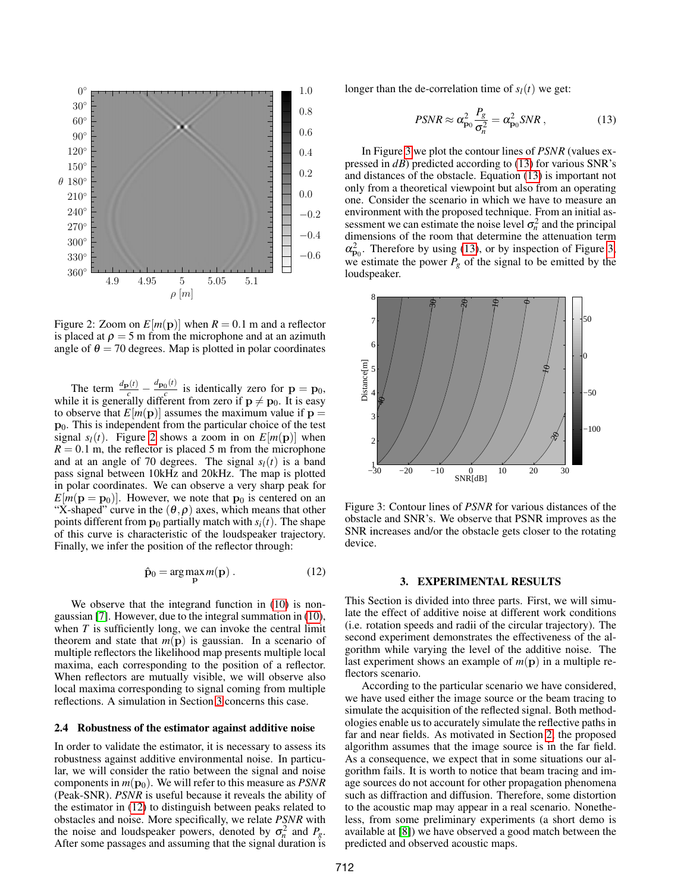

<span id="page-2-1"></span>Figure 2: Zoom on  $E[m(\mathbf{p})]$  when  $R = 0.1$  m and a reflector is placed at  $\rho = 5$  m from the microphone and at an azimuth angle of  $\theta = 70$  degrees. Map is plotted in polar coordinates

The term  $\frac{d_{\mathbf{p}}(t)}{c} - \frac{d_{\mathbf{p}_0}(t)}{c}$  $\frac{0^{(t)}}{c}$  is identically zero for  $\mathbf{p} = \mathbf{p}_0$ , while it is generally different from zero if  $p \neq p_0$ . It is easy to observe that  $E[m(p)]$  assumes the maximum value if  $p =$  $\mathbf{p}_0$ . This is independent from the particular choice of the test signal  $s_l(t)$ . Figure [2](#page-2-1) shows a zoom in on  $E[m(\mathbf{p})]$  when  $R = 0.1$  m, the reflector is placed 5 m from the microphone and at an angle of 70 degrees. The signal  $s_l(t)$  is a band pass signal between 10kHz and 20kHz. The map is plotted in polar coordinates. We can observe a very sharp peak for  $E[m(\mathbf{p} = \mathbf{p}_0)]$ . However, we note that  $\mathbf{p}_0$  is centered on an "X-shaped" curve in the  $(\theta, \rho)$  axes, which means that other points different from  $p_0$  partially match with  $s_i(t)$ . The shape of this curve is characteristic of the loudspeaker trajectory. Finally, we infer the position of the reflector through:

<span id="page-2-2"></span>
$$
\hat{\mathbf{p}}_0 = \arg\max_{\mathbf{p}} m(\mathbf{p}) . \tag{12}
$$

We observe that the integrand function in  $(10)$  is nongaussian [\[7\]](#page-4-7). However, due to the integral summation in [\(10\)](#page-1-7), when *T* is sufficiently long, we can invoke the central limit theorem and state that  $m(\mathbf{p})$  is gaussian. In a scenario of multiple reflectors the likelihood map presents multiple local maxima, each corresponding to the position of a reflector. When reflectors are mutually visible, we will observe also local maxima corresponding to signal coming from multiple reflections. A simulation in Section [3](#page-2-0) concerns this case.

#### 2.4 Robustness of the estimator against additive noise

In order to validate the estimator, it is necessary to assess its robustness against additive environmental noise. In particular, we will consider the ratio between the signal and noise components in  $m(\mathbf{p}_0)$ . We will refer to this measure as *PSNR* (Peak-SNR). *PSNR* is useful because it reveals the ability of the estimator in [\(12\)](#page-2-2) to distinguish between peaks related to obstacles and noise. More specifically, we relate *PSNR* with the noise and loudspeaker powers, denoted by  $\sigma_n^2$  and  $P_g$ . After some passages and assuming that the signal duration is longer than the de-correlation time of  $s_l(t)$  we get:

<span id="page-2-4"></span>
$$
PSNR \approx \alpha_{\mathbf{p}_0}^2 \frac{P_g}{\sigma_n^2} = \alpha_{\mathbf{p}_0}^2 SNR \,, \tag{13}
$$

In Figure [3](#page-2-3) we plot the contour lines of *PSNR* (values expressed in *dB*) predicted according to [\(13\)](#page-2-4) for various SNR's and distances of the obstacle. Equation [\(13\)](#page-2-4) is important not only from a theoretical viewpoint but also from an operating one. Consider the scenario in which we have to measure an environment with the proposed technique. From an initial assessment we can estimate the noise level  $\sigma_n^2$  and the principal dimensions of the room that determine the attenuation term  $\alpha_{\mathbf{p}_0}^2$ . Therefore by using [\(13\)](#page-2-4), or by inspection of Figure [3,](#page-2-3) we estimate the power  $P_g$  of the signal to be emitted by the loudspeaker.



<span id="page-2-3"></span>Figure 3: Contour lines of *PSNR* for various distances of the obstacle and SNR's. We observe that PSNR improves as the SNR increases and/or the obstacle gets closer to the rotating device.

#### 3. EXPERIMENTAL RESULTS

<span id="page-2-0"></span>This Section is divided into three parts. First, we will simulate the effect of additive noise at different work conditions (i.e. rotation speeds and radii of the circular trajectory). The second experiment demonstrates the effectiveness of the algorithm while varying the level of the additive noise. The last experiment shows an example of  $m(\mathbf{p})$  in a multiple reflectors scenario.

According to the particular scenario we have considered, we have used either the image source or the beam tracing to simulate the acquisition of the reflected signal. Both methodologies enable us to accurately simulate the reflective paths in far and near fields. As motivated in Section [2,](#page-0-0) the proposed algorithm assumes that the image source is in the far field. As a consequence, we expect that in some situations our algorithm fails. It is worth to notice that beam tracing and image sources do not account for other propagation phenomena such as diffraction and diffusion. Therefore, some distortion to the acoustic map may appear in a real scenario. Nonetheless, from some preliminary experiments (a short demo is available at [\[8\]](#page-4-8)) we have observed a good match between the predicted and observed acoustic maps.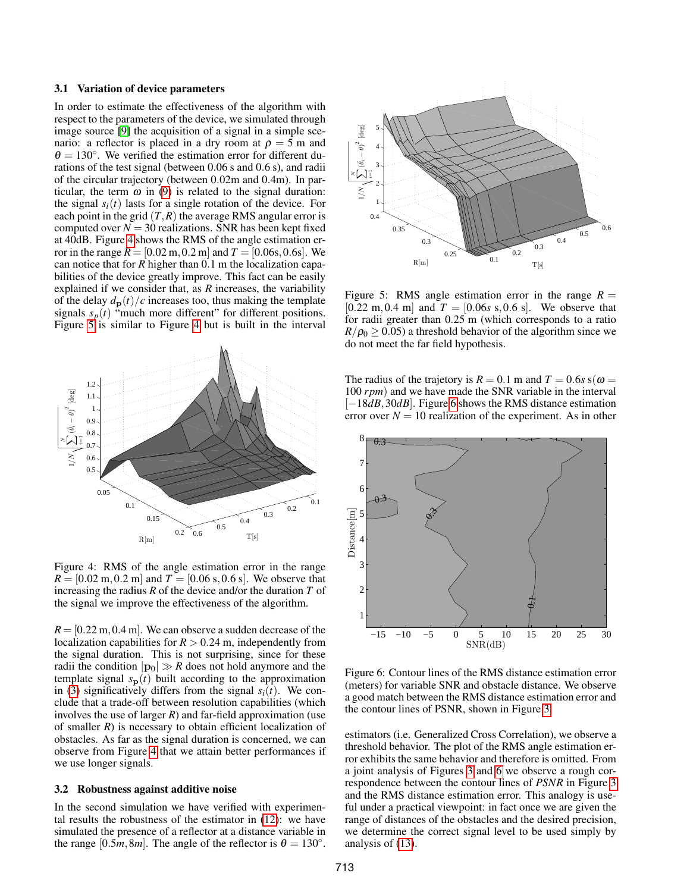#### 3.1 Variation of device parameters

In order to estimate the effectiveness of the algorithm with respect to the parameters of the device, we simulated through image source [\[9\]](#page-4-9) the acquisition of a signal in a simple scenario: a reflector is placed in a dry room at  $\rho = 5$  m and  $\theta = 130^\circ$ . We verified the estimation error for different durations of the test signal (between 0.06 s and 0.6 s), and radii of the circular trajectory (between 0.02m and 0.4m). In particular, the term  $\omega$  in [\(9\)](#page-1-8) is related to the signal duration: the signal  $s_l(t)$  lasts for a single rotation of the device. For each point in the grid  $(T, R)$  the average RMS angular error is computed over  $N = 30$  realizations. SNR has been kept fixed at 40dB. Figure [4](#page-3-0) shows the RMS of the angle estimation error in the range  $R = [0.02 \text{ m}, 0.2 \text{ m}]$  and  $T = [0.06 \text{s}, 0.6 \text{s}]$ . We can notice that for *R* higher than 0.1 m the localization capabilities of the device greatly improve. This fact can be easily explained if we consider that, as *R* increases, the variability of the delay  $d_{p}(t)/c$  increases too, thus making the template signals  $s_p(t)$  "much more different" for different positions. Figure [5](#page-3-1) is similar to Figure [4](#page-3-0) but is built in the interval



<span id="page-3-0"></span>Figure 4: RMS of the angle estimation error in the range  $R = [0.02 \text{ m}, 0.2 \text{ m}]$  and  $T = [0.06 \text{ s}, 0.6 \text{ s}]$ . We observe that increasing the radius *R* of the device and/or the duration *T* of the signal we improve the effectiveness of the algorithm.

 $R = [0.22 \text{ m}, 0.4 \text{ m}]$ . We can observe a sudden decrease of the localization capabilities for  $R > 0.24$  m, independently from the signal duration. This is not surprising, since for these radii the condition  $|\mathbf{p}_0| \gg R$  does not hold anymore and the template signal  $s_p(t)$  built according to the approximation in [\(3\)](#page-1-4) significatively differs from the signal  $s_i(t)$ . We conclude that a trade-off between resolution capabilities (which involves the use of larger  $R$ ) and far-field approximation (use of smaller *R*) is necessary to obtain efficient localization of obstacles. As far as the signal duration is concerned, we can observe from Figure [4](#page-3-0) that we attain better performances if we use longer signals.

## 3.2 Robustness against additive noise

In the second simulation we have verified with experimental results the robustness of the estimator in [\(12\)](#page-2-2): we have simulated the presence of a reflector at a distance variable in the range  $[0.5m, 8m]$ . The angle of the reflector is  $\theta = 130^{\circ}$ .



<span id="page-3-1"></span>Figure 5: RMS angle estimation error in the range  $R =$  $[0.22 \text{ m}, 0.4 \text{ m}]$  and  $T = [0.06s \text{ s}, 0.6 \text{ s}]$ . We observe that for radii greater than 0.25 m (which corresponds to a ratio  $R/\rho_0 \geq 0.05$ ) a threshold behavior of the algorithm since we do not meet the far field hypothesis.

The radius of the trajetory is  $R = 0.1$  m and  $T = 0.6$ *s* s( $\omega =$ 100 *rpm*) and we have made the SNR variable in the interval [−18*dB*,30*dB*]. Figure [6](#page-3-2) shows the RMS distance estimation error over  $N = 10$  realization of the experiment. As in other



<span id="page-3-2"></span>Figure 6: Contour lines of the RMS distance estimation error (meters) for variable SNR and obstacle distance. We observe a good match between the RMS distance estimation error and the contour lines of PSNR, shown in Figure [3.](#page-2-3)

estimators (i.e. Generalized Cross Correlation), we observe a threshold behavior. The plot of the RMS angle estimation error exhibits the same behavior and therefore is omitted. From a joint analysis of Figures [3](#page-2-3) and [6](#page-3-2) we observe a rough correspondence between the contour lines of *PSNR* in Figure [3](#page-2-3) and the RMS distance estimation error. This analogy is useful under a practical viewpoint: in fact once we are given the range of distances of the obstacles and the desired precision, we determine the correct signal level to be used simply by analysis of [\(13\)](#page-2-4).